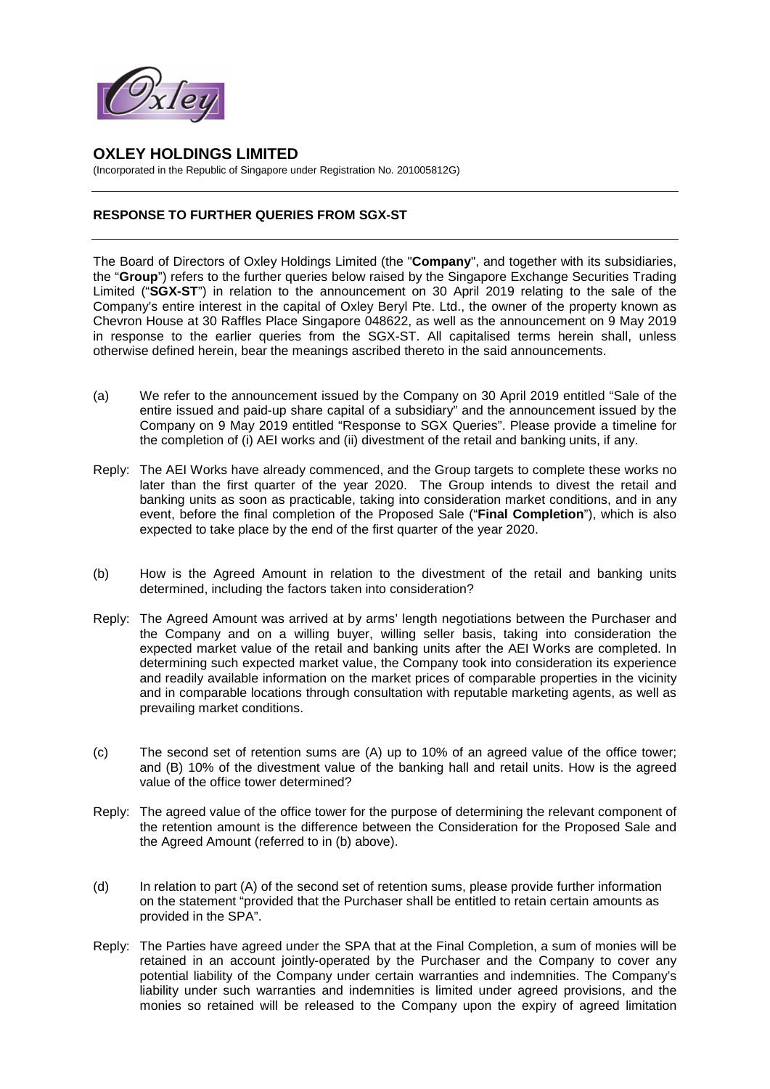

## **OXLEY HOLDINGS LIMITED**

(Incorporated in the Republic of Singapore under Registration No. 201005812G)

## **RESPONSE TO FURTHER QUERIES FROM SGX-ST**

The Board of Directors of Oxley Holdings Limited (the "**Company**", and together with its subsidiaries, the "**Group**") refers to the further queries below raised by the Singapore Exchange Securities Trading Limited ("**SGX-ST**") in relation to the announcement on 30 April 2019 relating to the sale of the Company's entire interest in the capital of Oxley Beryl Pte. Ltd., the owner of the property known as Chevron House at 30 Raffles Place Singapore 048622, as well as the announcement on 9 May 2019 in response to the earlier queries from the SGX-ST. All capitalised terms herein shall, unless otherwise defined herein, bear the meanings ascribed thereto in the said announcements.

- (a) We refer to the announcement issued by the Company on 30 April 2019 entitled "Sale of the entire issued and paid-up share capital of a subsidiary" and the announcement issued by the Company on 9 May 2019 entitled "Response to SGX Queries". Please provide a timeline for the completion of (i) AEI works and (ii) divestment of the retail and banking units, if any.
- Reply: The AEI Works have already commenced, and the Group targets to complete these works no later than the first quarter of the year 2020. The Group intends to divest the retail and banking units as soon as practicable, taking into consideration market conditions, and in any event, before the final completion of the Proposed Sale ("**Final Completion**"), which is also expected to take place by the end of the first quarter of the year 2020.
- (b) How is the Agreed Amount in relation to the divestment of the retail and banking units determined, including the factors taken into consideration?
- Reply: The Agreed Amount was arrived at by arms' length negotiations between the Purchaser and the Company and on a willing buyer, willing seller basis, taking into consideration the expected market value of the retail and banking units after the AEI Works are completed. In determining such expected market value, the Company took into consideration its experience and readily available information on the market prices of comparable properties in the vicinity and in comparable locations through consultation with reputable marketing agents, as well as prevailing market conditions.
- (c) The second set of retention sums are (A) up to 10% of an agreed value of the office tower; and (B) 10% of the divestment value of the banking hall and retail units. How is the agreed value of the office tower determined?
- Reply: The agreed value of the office tower for the purpose of determining the relevant component of the retention amount is the difference between the Consideration for the Proposed Sale and the Agreed Amount (referred to in (b) above).
- (d) In relation to part (A) of the second set of retention sums, please provide further information on the statement "provided that the Purchaser shall be entitled to retain certain amounts as provided in the SPA".
- Reply: The Parties have agreed under the SPA that at the Final Completion, a sum of monies will be retained in an account jointly-operated by the Purchaser and the Company to cover any potential liability of the Company under certain warranties and indemnities. The Company's liability under such warranties and indemnities is limited under agreed provisions, and the monies so retained will be released to the Company upon the expiry of agreed limitation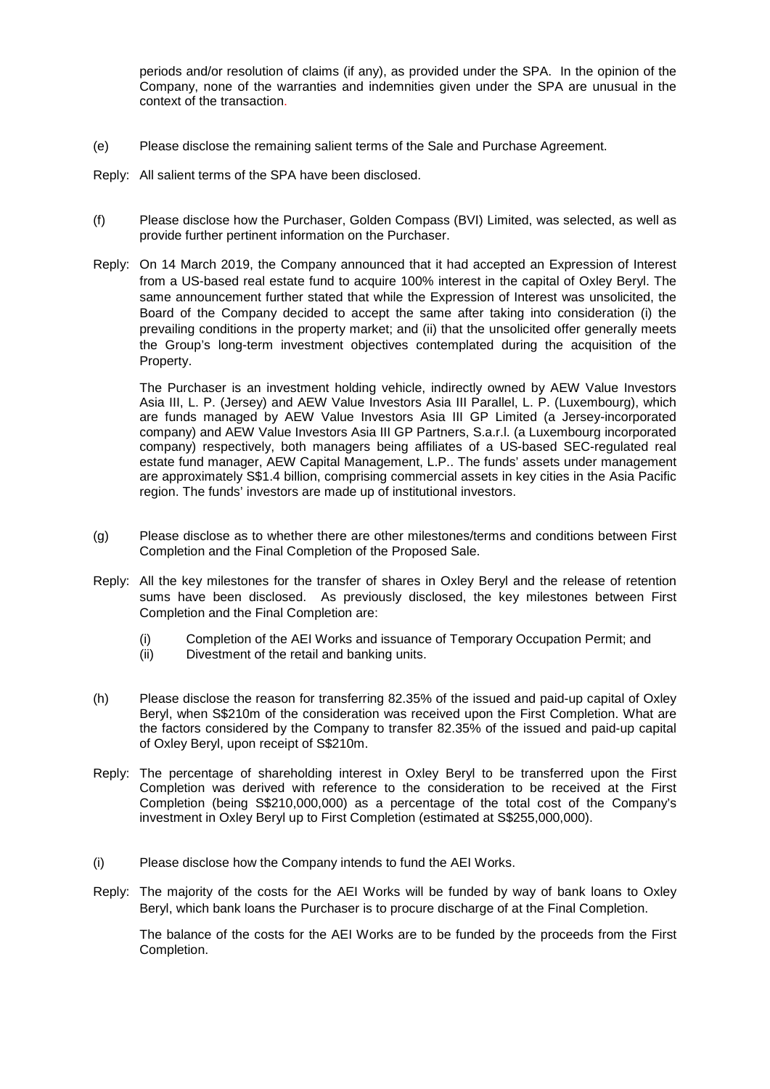periods and/or resolution of claims (if any), as provided under the SPA. In the opinion of the Company, none of the warranties and indemnities given under the SPA are unusual in the context of the transaction.

- (e) Please disclose the remaining salient terms of the Sale and Purchase Agreement.
- Reply: All salient terms of the SPA have been disclosed.
- (f) Please disclose how the Purchaser, Golden Compass (BVI) Limited, was selected, as well as provide further pertinent information on the Purchaser.
- Reply: On 14 March 2019, the Company announced that it had accepted an Expression of Interest from a US-based real estate fund to acquire 100% interest in the capital of Oxley Beryl. The same announcement further stated that while the Expression of Interest was unsolicited, the Board of the Company decided to accept the same after taking into consideration (i) the prevailing conditions in the property market; and (ii) that the unsolicited offer generally meets the Group's long-term investment objectives contemplated during the acquisition of the Property.

The Purchaser is an investment holding vehicle, indirectly owned by AEW Value Investors Asia III, L. P. (Jersey) and AEW Value Investors Asia III Parallel, L. P. (Luxembourg), which are funds managed by AEW Value Investors Asia III GP Limited (a Jersey-incorporated company) and AEW Value Investors Asia III GP Partners, S.a.r.l. (a Luxembourg incorporated company) respectively, both managers being affiliates of a US-based SEC-regulated real estate fund manager, AEW Capital Management, L.P.. The funds' assets under management are approximately S\$1.4 billion, comprising commercial assets in key cities in the Asia Pacific region. The funds' investors are made up of institutional investors.

- (g) Please disclose as to whether there are other milestones/terms and conditions between First Completion and the Final Completion of the Proposed Sale.
- Reply: All the key milestones for the transfer of shares in Oxley Beryl and the release of retention sums have been disclosed. As previously disclosed, the key milestones between First Completion and the Final Completion are:
	- (i) Completion of the AEI Works and issuance of Temporary Occupation Permit; and
	- (ii) Divestment of the retail and banking units.
- (h) Please disclose the reason for transferring 82.35% of the issued and paid-up capital of Oxley Beryl, when S\$210m of the consideration was received upon the First Completion. What are the factors considered by the Company to transfer 82.35% of the issued and paid-up capital of Oxley Beryl, upon receipt of S\$210m.
- Reply: The percentage of shareholding interest in Oxley Beryl to be transferred upon the First Completion was derived with reference to the consideration to be received at the First Completion (being S\$210,000,000) as a percentage of the total cost of the Company's investment in Oxley Beryl up to First Completion (estimated at S\$255,000,000).
- (i) Please disclose how the Company intends to fund the AEI Works.
- Reply: The majority of the costs for the AEI Works will be funded by way of bank loans to Oxley Beryl, which bank loans the Purchaser is to procure discharge of at the Final Completion.

The balance of the costs for the AEI Works are to be funded by the proceeds from the First Completion.